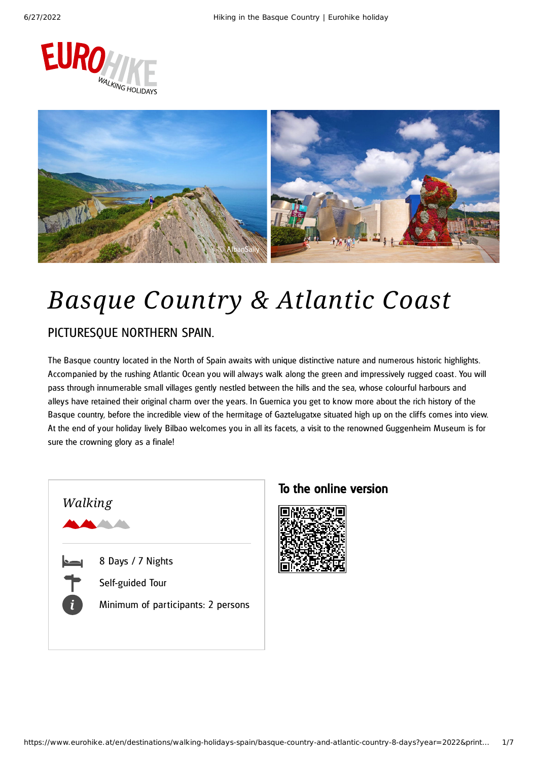



# *Basque Country & Atlantic Coast*

## PICTURESQUE NORTHERN SPAIN.

The Basque country located in the North of Spain awaits with unique distinctive nature and numerous historic highlights. Accompanied by the rushing Atlantic Ocean you will always walk along the green and impressively rugged coast. You will pass through innumerable small villages gently nestled between the hills and the sea, whose colourful harbours and alleys have retained their original charm over the years. In Guernica you get to know more about the rich history of the Basque country, before the incredible view of the hermitage of Gaztelugatxe situated high up on the cliffs comes into view. At the end of your holiday lively Bilbao welcomes you in all its facets, a visit to the renowned Guggenheim Museum is for sure the crowning glory as a finale!



### To the online version

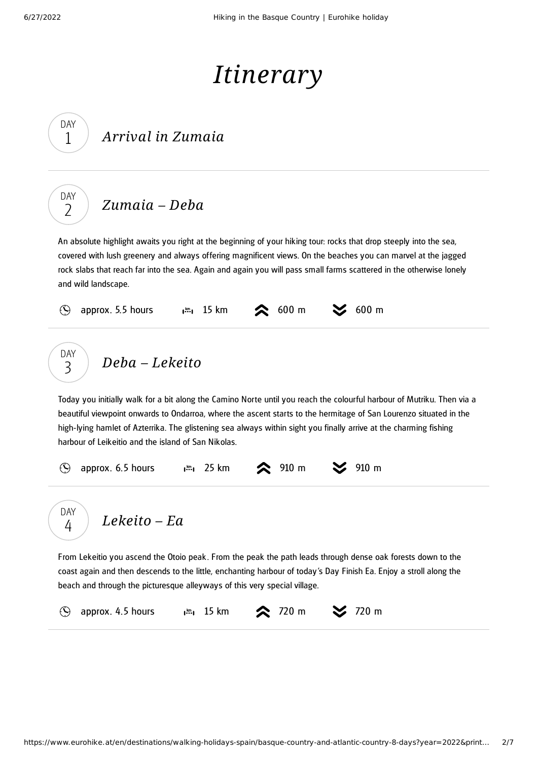DAY 1

DAY  $\overline{\phantom{0}}$ 

# *Itinerary*

## *Arrival in Zumaia*

*[Zumaia](#page-1-0) – Deba*

<span id="page-1-0"></span>An absolute highlight awaits you right at the beginning of your hiking tour: rocks that drop steeply into the sea, covered with lush greenery and always offering magnificent views. On the beaches you can marvel at the jagged rock slabs that reach far into the sea. Again and again you will pass small farms scattered in the otherwise lonely and wild landscape.



<span id="page-1-1"></span>beautiful viewpoint onwards to Ondarroa, where the ascent starts to the hermitage of San Lourenzo situated in the high-lying hamlet of Azterrika. The glistening sea always within sight you finally arrive at the charming fishing harbour of Leikeitio and the island of San Nikolas.

<span id="page-1-2"></span>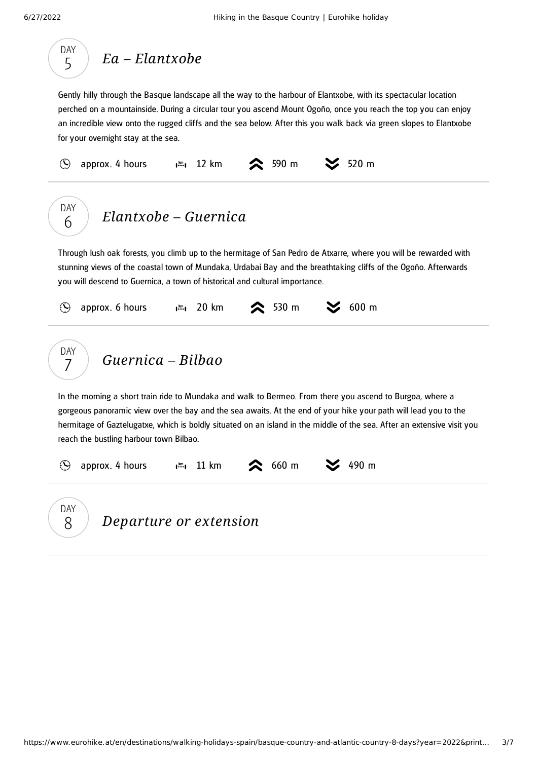<span id="page-2-2"></span><span id="page-2-1"></span><span id="page-2-0"></span>

| DAY<br>$Ea - Elantxobe$<br>5                                                                                                                                                                                                                                                                                                                                                                       |
|----------------------------------------------------------------------------------------------------------------------------------------------------------------------------------------------------------------------------------------------------------------------------------------------------------------------------------------------------------------------------------------------------|
| Gently hilly through the Basque landscape all the way to the harbour of Elantxobe, with its spectacular location<br>perched on a mountainside. During a circular tour you ascend Mount Ogoño, once you reach the top you can enjoy<br>an incredible view onto the rugged cliffs and the sea below. After this you walk back via green slopes to Elantxobe<br>for your overnight stay at the sea.   |
| 520 m<br>590 m<br>12 km<br>$\odot$<br>approx. 4 hours<br>$\mathbf{I}^{\text{km}}$                                                                                                                                                                                                                                                                                                                  |
| DAY<br>Elantxobe - Guernica<br>6                                                                                                                                                                                                                                                                                                                                                                   |
| Through lush oak forests, you climb up to the hermitage of San Pedro de Atxarre, where you will be rewarded with<br>stunning views of the coastal town of Mundaka, Urdabai Bay and the breathtaking cliffs of the Ogoño. Afterwards<br>you will descend to Guernica, a town of historical and cultural importance.                                                                                 |
| $600$ m<br>20 km<br><b>◇ 530 m</b><br>approx. 6 hours<br>$(\blacktriangle)$<br>$\mathbf{I}^{\text{km}}$                                                                                                                                                                                                                                                                                            |
| DAY<br>Guernica - Bilbao<br>7                                                                                                                                                                                                                                                                                                                                                                      |
| In the morning a short train ride to Mundaka and walk to Bermeo. From there you ascend to Burgoa, where a<br>gorgeous panoramic view over the bay and the sea awaits. At the end of your hike your path will lead you to the<br>hermitage of Gaztelugatxe, which is boldly situated on an island in the middle of the sea. After an extensive visit you<br>reach the bustling harbour town Bilbao. |
| 490 m<br>660 m<br>approx. 4 hours<br>$\mathbf{I}^{\text{km}}$ $\mathbf{I}$ 11 km                                                                                                                                                                                                                                                                                                                   |
| <b>DAY</b><br>Departure or extension<br>8                                                                                                                                                                                                                                                                                                                                                          |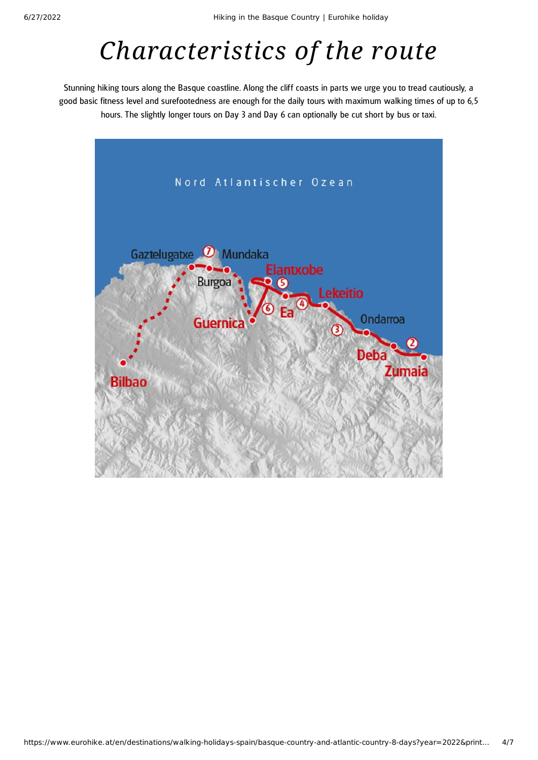# *Characteristics of the route*

Stunning hiking tours along the Basque coastline. Along the cliff coasts in parts we urge you to tread cautiously, a good basic fitness level and surefootedness are enough for the daily tours with maximum walking times of up to 6,5 hours. The slightly longer tours on Day 3 and Day 6 can optionally be cut short by bus or taxi.

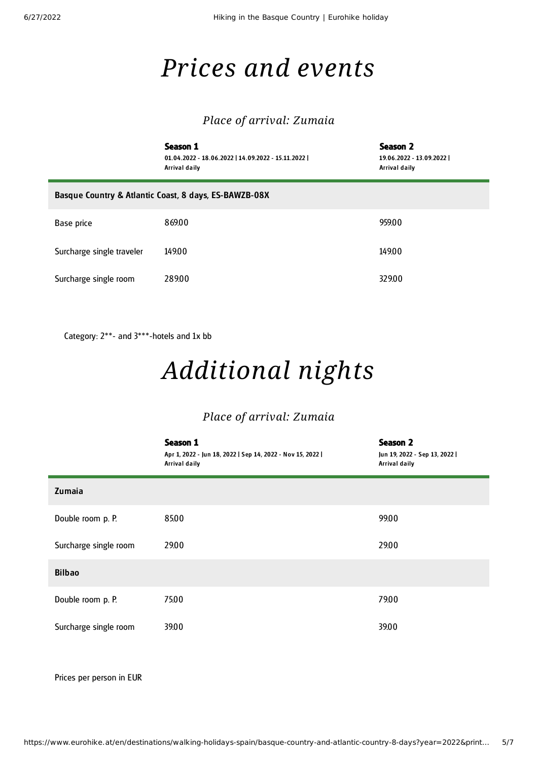## *Prices and events*

### *Place of arrival: Zumaia*

|                                                       | Season 1<br>01.04.2022 - 18.06.2022   14.09.2022 - 15.11.2022  <br>Arrival daily | Season 2<br>19.06.2022 - 13.09.2022  <br>Arrival daily |  |  |
|-------------------------------------------------------|----------------------------------------------------------------------------------|--------------------------------------------------------|--|--|
| Basque Country & Atlantic Coast, 8 days, ES-BAWZB-08X |                                                                                  |                                                        |  |  |
| Base price                                            | 869.00                                                                           | 959.00                                                 |  |  |
| Surcharge single traveler                             | 149.00                                                                           | 149.00                                                 |  |  |
| Surcharge single room                                 | 28900                                                                            | 329.00                                                 |  |  |

Category: 2\*\*- and 3\*\*\*-hotels and 1x bb

# *Additional nights*

### *Place of arrival: Zumaia*

|                       | Season 1<br>Apr 1, 2022 - Jun 18, 2022   Sep 14, 2022 - Nov 15, 2022  <br>Arrival daily | <b>Season 2</b><br>Jun 19, 2022 - Sep 13, 2022  <br>Arrival daily |
|-----------------------|-----------------------------------------------------------------------------------------|-------------------------------------------------------------------|
| Zumaia                |                                                                                         |                                                                   |
| Double room p. P.     | 85.00                                                                                   | 99.00                                                             |
| Surcharge single room | 29.00                                                                                   | 29.00                                                             |
| <b>Bilbao</b>         |                                                                                         |                                                                   |
| Double room p. P.     | 75.00                                                                                   | 79.00                                                             |
| Surcharge single room | 39.00                                                                                   | 39.00                                                             |

Prices per person in EUR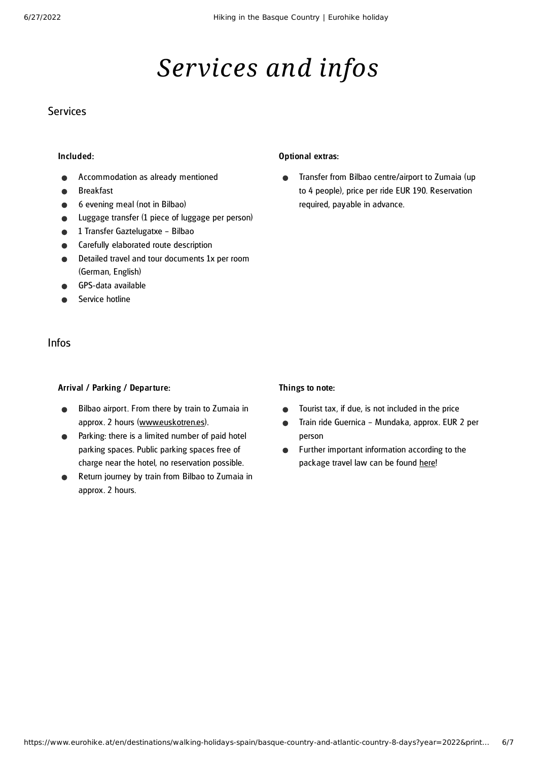## *Services and infos*

### **Services**

#### Included:

- Accommodation as already mentioned
- Breakfast
- 6 evening meal (not in Bilbao)
- Luggage transfer (1 piece of luggage per person)
- 1 Transfer Gaztelugatxe Bilbao
- Carefully elaborated route description
- Detailed travel and tour documents 1x per room (German, English)
- GPS-data available
- Service hotline

### Infos

#### Arrival / Parking / Departure:

- Bilbao airport. From there by train to Zumaia in  $\bullet$ approx. 2 hours ([www.euskotren.es\)](https://www.euskotren.eus/en).
- Parking: there is a limited number of paid hotel parking spaces. Public parking spaces free of charge near the hotel, no reservation possible.
- Return journey by train from Bilbao to Zumaia in approx. 2 hours.

#### Optional extras:

Transfer from Bilbao centre/airport to Zumaia (up  $\bullet$ to 4 people), price per ride EUR 190. Reservation required, payable in advance.

#### Things to note:

- Tourist tax, if due, is not included in the price  $\bullet$
- Train ride Guernica Mundaka, approx. EUR 2 per  $\bullet$ person
- Further important information according to the  $\bullet$ package travel law can be found [here](https://www.eurohike.at/en/travel-information/before-the-tour/pci)!